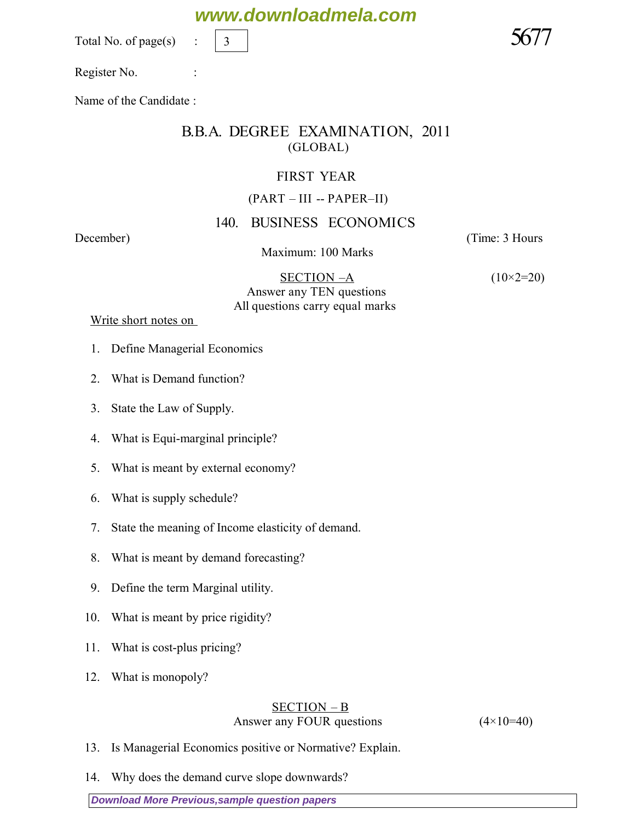Total No. of page $(s)$ 

Register No. :

Name of the Candidate :

## B.B.A. DEGREE EXAMINATION, 2011 (GLOBAL)

### FIRST YEAR

#### (PART – III -- PAPER–II)

## 140. BUSINESS ECONOMICS

#### Maximum: 100 Marks

*December*) (*Time: 3 Hours*

 SECTION –A *(10×2=20) Answer any TEN questions All questions carry equal marks* 

 *Write short notes on* 

- 1. Define Managerial Economics
- 2. What is Demand function?
- 3. State the Law of Supply.
- 4. What is Equi-marginal principle?
- 5. What is meant by external economy?
- 6. What is supply schedule?
- 7. State the meaning of Income elasticity of demand.
- 8. What is meant by demand forecasting?
- 9. Define the term Marginal utility.
- 10. What is meant by price rigidity?
- 11. What is cost-plus pricing?
- 12. What is monopoly?

#### SECTION – B *Answer any FOUR questions (4×10=40)*

- 13. Is Managerial Economics positive or Normative? Explain.
- 14. Why does the demand curve slope downwards?

**[Download More Previous,sample question papers](http://downloadmela.com/pages/previouspapers/previouspapers.html)**

## **www.downloadmela.com**

3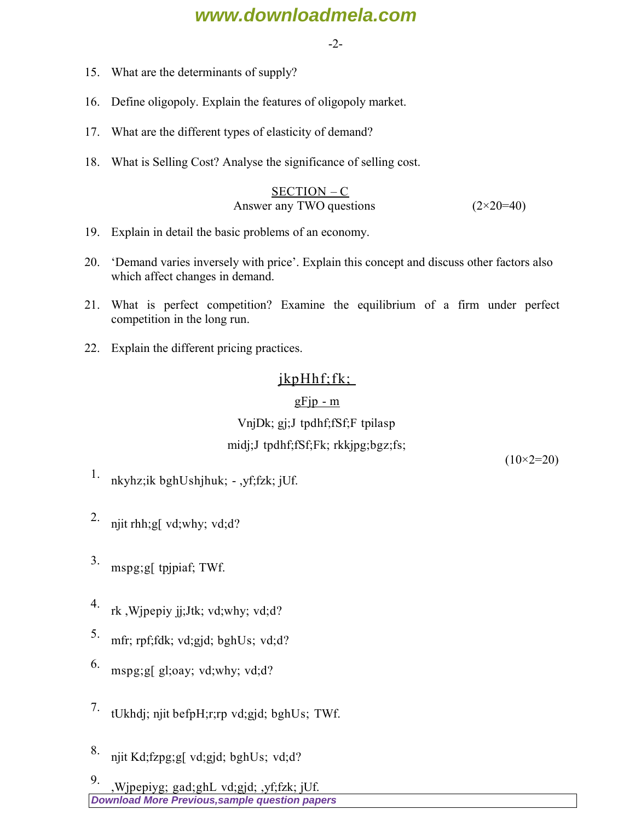## **www.downloadmela.com**

-2-

- 15. What are the determinants of supply?
- 16. Define oligopoly. Explain the features of oligopoly market.
- 17. What are the different types of elasticity of demand?
- 18. What is Selling Cost? Analyse the significance of selling cost.

$$
\frac{\text{SECTION} - \text{C}}{\text{Answer any TWO questions}} \tag{2 \times 20=40}
$$

- 19. Explain in detail the basic problems of an economy.
- 20. 'Demand varies inversely with price'. Explain this concept and discuss other factors also which affect changes in demand.
- 21. What is perfect competition? Examine the equilibrium of a firm under perfect competition in the long run.
- 22. Explain the different pricing practices.

## $ikpHhf;fk;$

#### $gF$ jp - m

## VnjDk; gj;J tpdhf;fSf;F tpilasp midj;J tpdhf;fSf;Fk; rkkjpg;bgz;fs;

*(10×2=20)*

- <sup>1.</sup> nkyhz;ik bghUshjhuk; ,yf;fzk; jUf.
- 2. njit rhh; g[ vd; why; vd; d?
- 3. mspg;g[ tpjpiaf; TWf.
- 4. rk ,Wjpepiy jj;Jtk; vd;why; vd;d?
- 5. mfr; rpf;fdk; vd;gjd; bghUs; vd;d?
- 6. mspg;g[ gl;oay; vd;why; vd;d?
- 7. tUkhdi; njit befpH;r;rp vd;gjd; bghUs; TWf.
- 8. njit Kd;fzpg;g[ vd;gjd; bghUs; vd;d?

**[Download More Previous,sample question papers](http://downloadmela.com/pages/previouspapers/previouspapers.html)** 9. Wipepiyg; gad;ghL vd;gjd; ,yf;fzk; jUf.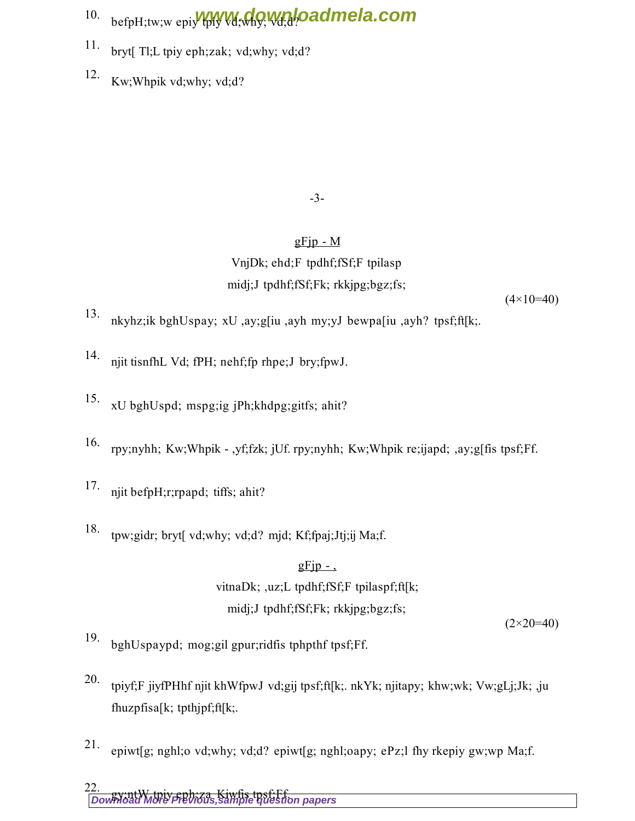- 10. befpH;tw;w epiy Wywww.why; Wand bad mela.com
- 11. bryt[ Tl;L tpiy eph;zak; vd;why; vd;d?
- 12. Kw;Whpik vd;why; vd;d?

-3-

## $gF$ jp - M VnjDk; ehd;F tpdhf;fSf;F tpilasp midj;J tpdhf;fSf;Fk; rkkjpg;bgz;fs;

*(4×10=40)*

- 13. nkyhz;ik bghUspay; xU ,ay;g[iu ,ayh my;yJ bewpa[iu ,ayh? tpsf;ft[k;.
- 14. njit tisnfhL Vd; fPH; nehf;fp rhpe;J bry;fpwJ.
- 15. xU bghUspd; mspg;ig jPh;khdpg;gitfs; ahit?
- 16. rpy;nyhh; Kw;Whpik ,yf;fzk; jUf. rpy;nyhh; Kw;Whpik re;ijapd; ,ay;g[fis tpsf;Ff.
- 17. njit befpH;r;rpapd; tiffs; ahit?
- 18. tpw;gidr; bryt[ vd;why; vd;d? mjd; Kf;fpaj;Jtj;ij Ma;f.

## $gFip -$ , vitnaDk; ,uz;L tpdhf;fSf;F tpilaspf;ft[k; midj;J tpdhf;fSf;Fk; rkkjpg;bgz;fs;

*(2×20=40)*

- 19. bghUspaypd; mog;gil gpur;ridfis tphpthf tpsf;Ff.
- 20. tpiyf;F jiyfPHhf njit khWfpwJ vd;gij tpsf;ft[k;. nkYk; njitapy; khw;wk; Vw;gLj;Jk; ,ju fhuzpfisa[k; tpthjpf;ft[k;.
- 21. epiwt[g; nghl;o vd;why; vd;d? epiwt[g; nghl;oapy; ePz;l fhy rkepiy gw;wp Ma;f.